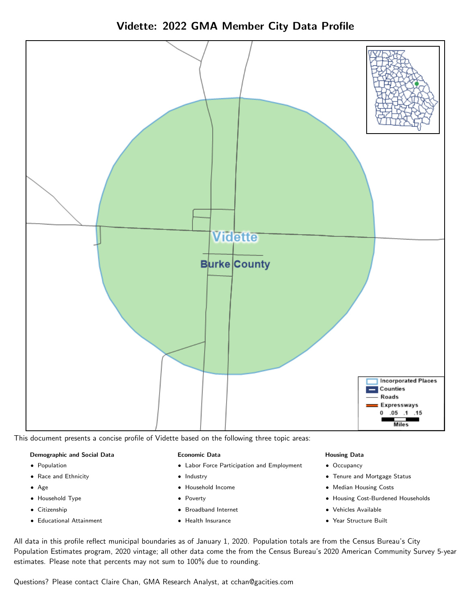Vidette: 2022 GMA Member City Data Profile



This document presents a concise profile of Vidette based on the following three topic areas:

#### Demographic and Social Data

- **•** Population
- Race and Ethnicity
- Age
- Household Type
- **Citizenship**
- Educational Attainment

#### Economic Data

- Labor Force Participation and Employment
- Industry
- Household Income
- Poverty
- Broadband Internet
- Health Insurance

#### Housing Data

- Occupancy
- Tenure and Mortgage Status
- Median Housing Costs
- Housing Cost-Burdened Households
- Vehicles Available
- Year Structure Built

All data in this profile reflect municipal boundaries as of January 1, 2020. Population totals are from the Census Bureau's City Population Estimates program, 2020 vintage; all other data come the from the Census Bureau's 2020 American Community Survey 5-year estimates. Please note that percents may not sum to 100% due to rounding.

Questions? Please contact Claire Chan, GMA Research Analyst, at [cchan@gacities.com.](mailto:cchan@gacities.com)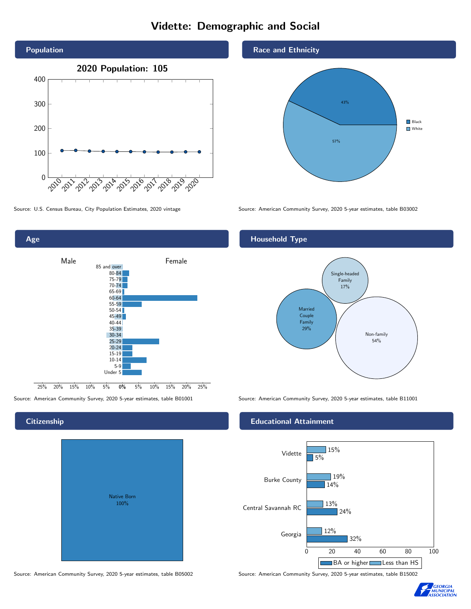# Vidette: Demographic and Social



0% 5% 10% 15% 20% 25% Male **Female** 25% 20% 15% 10% 5% 85 and over 80-84 75-79 70-74 65-69 60-64 55-59 50-54  $45 - 49$ 40-44 35-39 30-34 25-29 20-24 15-19  $10-14$ 5-9 Under 5

# **Citizenship**

Age

| <b>Native Born</b><br>100% |  |
|----------------------------|--|

Race and Ethnicity



Source: U.S. Census Bureau, City Population Estimates, 2020 vintage Source: American Community Survey, 2020 5-year estimates, table B03002

# Household Type



Source: American Community Survey, 2020 5-year estimates, table B01001 Source: American Community Survey, 2020 5-year estimates, table B11001

#### Educational Attainment



Source: American Community Survey, 2020 5-year estimates, table B05002 Source: American Community Survey, 2020 5-year estimates, table B15002

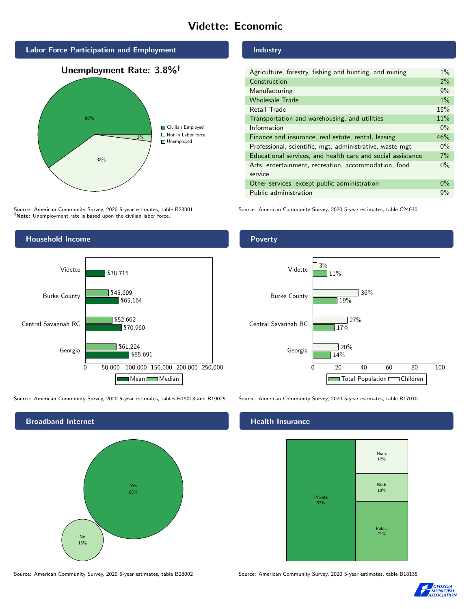# Vidette: Economic



Source: American Community Survey, 2020 5-year estimates, table B23001 Note: Unemployment rate is based upon the civilian labor force.



Source: American Community Survey, 2020 5-year estimates, tables B19013 and B19025 Source: American Community Survey, 2020 5-year estimates, table B17010

Broadband Internet No 15% Yes 85%

#### Industry

| Agriculture, forestry, fishing and hunting, and mining      | $1\%$ |
|-------------------------------------------------------------|-------|
| Construction                                                | 2%    |
| Manufacturing                                               | 9%    |
| <b>Wholesale Trade</b>                                      | $1\%$ |
| Retail Trade                                                | 15%   |
| Transportation and warehousing, and utilities               | 11%   |
| Information                                                 | $0\%$ |
| Finance and insurance, real estate, rental, leasing         | 46%   |
| Professional, scientific, mgt, administrative, waste mgt    | $0\%$ |
| Educational services, and health care and social assistance | $7\%$ |
| Arts, entertainment, recreation, accommodation, food        | $0\%$ |
| service                                                     |       |
| Other services, except public administration                | $0\%$ |
| Public administration                                       | 9%    |

Source: American Community Survey, 2020 5-year estimates, table C24030

## Poverty



# **Health Insurance**



Source: American Community Survey, 2020 5-year estimates, table B28002 Source: American Community Survey, 2020 5-year estimates, table B18135